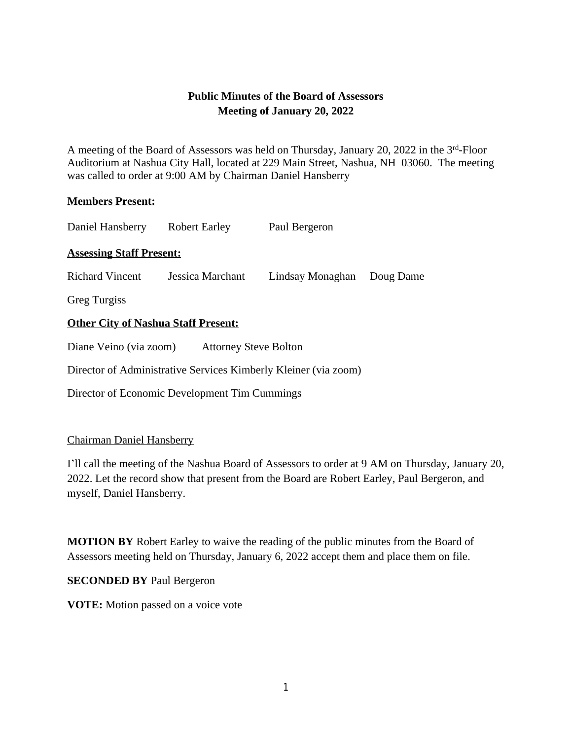# **Public Minutes of the Board of Assessors Meeting of January 20, 2022**

A meeting of the Board of Assessors was held on Thursday, January 20, 2022 in the 3rd-Floor Auditorium at Nashua City Hall, located at 229 Main Street, Nashua, NH 03060. The meeting was called to order at 9:00 AM by Chairman Daniel Hansberry

#### **Members Present:**

| Daniel Hansberry                                                | <b>Robert Earley</b> | Paul Bergeron    |           |
|-----------------------------------------------------------------|----------------------|------------------|-----------|
| <b>Assessing Staff Present:</b>                                 |                      |                  |           |
| Richard Vincent                                                 | Jessica Marchant     | Lindsay Monaghan | Doug Dame |
| <b>Greg Turgiss</b>                                             |                      |                  |           |
| <b>Other City of Nashua Staff Present:</b>                      |                      |                  |           |
| Diane Veino (via zoom)<br><b>Attorney Steve Bolton</b>          |                      |                  |           |
| Director of Administrative Services Kimberly Kleiner (via zoom) |                      |                  |           |
|                                                                 |                      |                  |           |

Director of Economic Development Tim Cummings

# Chairman Daniel Hansberry

I'll call the meeting of the Nashua Board of Assessors to order at 9 AM on Thursday, January 20, 2022. Let the record show that present from the Board are Robert Earley, Paul Bergeron, and myself, Daniel Hansberry.

**MOTION BY** Robert Earley to waive the reading of the public minutes from the Board of Assessors meeting held on Thursday, January 6, 2022 accept them and place them on file.

**SECONDED BY** Paul Bergeron

**VOTE:** Motion passed on a voice vote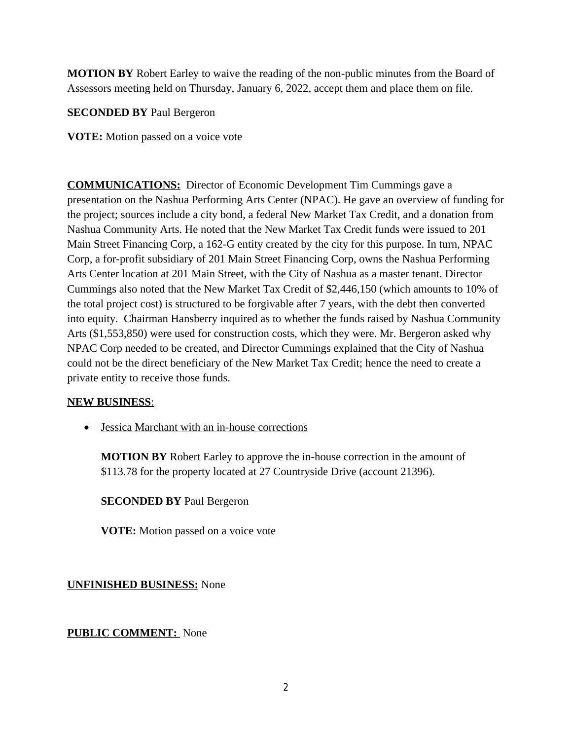**MOTION BY** Robert Earley to waive the reading of the non-public minutes from the Board of Assessors meeting held on Thursday, January 6, 2022, accept them and place them on file.

**SECONDED BY** Paul Bergeron

**VOTE:** Motion passed on a voice vote

**COMMUNICATIONS:** Director of Economic Development Tim Cummings gave a presentation on the Nashua Performing Arts Center (NPAC). He gave an overview of funding for the project; sources include a city bond, a federal New Market Tax Credit, and a donation from Nashua Community Arts. He noted that the New Market Tax Credit funds were issued to 201 Main Street Financing Corp, a 162-G entity created by the city for this purpose. In turn, NPAC Corp, a for-profit subsidiary of 201 Main Street Financing Corp, owns the Nashua Performing Arts Center location at 201 Main Street, with the City of Nashua as a master tenant. Director Cummings also noted that the New Market Tax Credit of \$2,446,150 (which amounts to 10% of the total project cost) is structured to be forgivable after 7 years, with the debt then converted into equity. Chairman Hansberry inquired as to whether the funds raised by Nashua Community Arts (\$1,553,850) were used for construction costs, which they were. Mr. Bergeron asked why NPAC Corp needed to be created, and Director Cummings explained that the City of Nashua could not be the direct beneficiary of the New Market Tax Credit; hence the need to create a private entity to receive those funds.

#### **NEW BUSINESS**:

Jessica Marchant with an in-house corrections

**MOTION BY** Robert Earley to approve the in-house correction in the amount of \$113.78 for the property located at 27 Countryside Drive (account 21396).

**SECONDED BY** Paul Bergeron

**VOTE:** Motion passed on a voice vote

**UNFINISHED BUSINESS:** None

#### **PUBLIC COMMENT:** None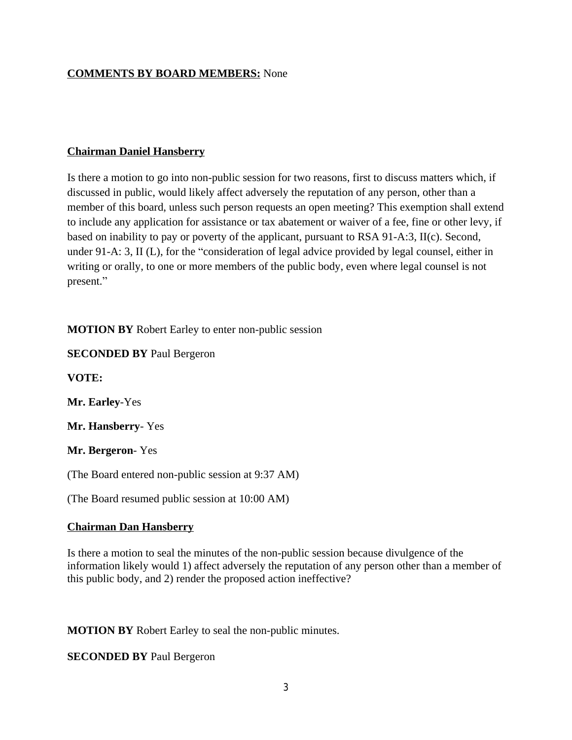# **COMMENTS BY BOARD MEMBERS:** None

## **Chairman Daniel Hansberry**

Is there a motion to go into non-public session for two reasons, first to discuss matters which, if discussed in public, would likely affect adversely the reputation of any person, other than a member of this board, unless such person requests an open meeting? This exemption shall extend to include any application for assistance or tax abatement or waiver of a fee, fine or other levy, if based on inability to pay or poverty of the applicant, pursuant to RSA 91-A:3, II(c). Second, under 91-A: 3, II (L), for the "consideration of legal advice provided by legal counsel, either in writing or orally, to one or more members of the public body, even where legal counsel is not present."

# **MOTION BY** Robert Earley to enter non-public session

**SECONDED BY** Paul Bergeron

**VOTE:**

**Mr. Earley**-Yes

**Mr. Hansberry**- Yes

**Mr. Bergeron**- Yes

(The Board entered non-public session at 9:37 AM)

(The Board resumed public session at 10:00 AM)

#### **Chairman Dan Hansberry**

Is there a motion to seal the minutes of the non-public session because divulgence of the information likely would 1) affect adversely the reputation of any person other than a member of this public body, and 2) render the proposed action ineffective?

**MOTION BY** Robert Earley to seal the non-public minutes.

**SECONDED BY** Paul Bergeron